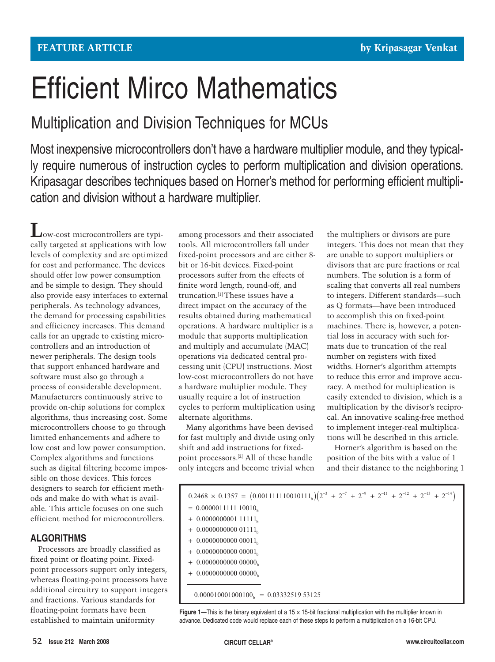# Efficient Mirco Mathematics

# Multiplication and Division Techniques for MCUs

Most inexpensive microcontrollers don't have a hardware multiplier module, and they typically require numerous of instruction cycles to perform multiplication and division operations. Kripasagar describes techniques based on Horner's method for performing efficient multiplication and division without a hardware multiplier.

**L**ow-cost microcontrollers are typically targeted at applications with low levels of complexity and are optimized for cost and performance. The devices should offer low power consumption and be simple to design. They should also provide easy interfaces to external peripherals. As technology advances, the demand for processing capabilities and efficiency increases. This demand calls for an upgrade to existing microcontrollers and an introduction of newer peripherals. The design tools that support enhanced hardware and software must also go through a process of considerable development. Manufacturers continuously strive to provide on-chip solutions for complex algorithms, thus increasing cost. Some microcontrollers choose to go through limited enhancements and adhere to low cost and low power consumption. Complex algorithms and functions such as digital filtering become impossible on those devices. This forces designers to search for efficient methods and make do with what is available. This article focuses on one such efficient method for microcontrollers.

# **ALGORITHMS**

Processors are broadly classified as fixed point or floating point. Fixedpoint processors support only integers, whereas floating-point processors have additional circuitry to support integers and fractions. Various standards for floating-point formats have been established to maintain uniformity

among processors and their associated tools. All microcontrollers fall under fixed-point processors and are either 8 bit or 16-bit devices. Fixed-point processors suffer from the effects of finite word length, round-off, and truncation.[1] These issues have a direct impact on the accuracy of the results obtained during mathematical operations. A hardware multiplier is a module that supports multiplication and multiply and accumulate (MAC) operations via dedicated central processing unit (CPU) instructions. Most low-cost microcontrollers do not have a hardware multiplier module. They usually require a lot of instruction cycles to perform multiplication using alternate algorithms.

Many algorithms have been devised for fast multiply and divide using only shift and add instructions for fixedpoint processors.[2] All of these handle only integers and become trivial when the multipliers or divisors are pure integers. This does not mean that they are unable to support multipliers or divisors that are pure fractions or real numbers. The solution is a form of scaling that converts all real numbers to integers. Different standards—such as Q formats—have been introduced to accomplish this on fixed-point machines. There is, however, a potential loss in accuracy with such formats due to truncation of the real number on registers with fixed widths. Horner's algorithm attempts to reduce this error and improve accuracy. A method for multiplication is easily extended to division, which is a multiplication by the divisor's reciprocal. An innovative scaling-free method to implement integer-real multiplications will be described in this article.

Horner's algorithm is based on the position of the bits with a value of 1 and their distance to the neighboring 1

| $0.2468 \times 0.1357 = (0.001111110010111_b)(2^{-3} + 2^{-7} + 2^{-9} + 2^{-11} + 2^{-12} + 2^{-13} + 2^{-14})$ |
|------------------------------------------------------------------------------------------------------------------|
| $= 0.0000011111110010_{h}$                                                                                       |
| $+$ 0.0000000001 11111 <sub>b</sub>                                                                              |
| $+$ 0.0000000000 01111                                                                                           |
| $+$ 0.00000000000 00011 <sub>b</sub>                                                                             |
| $+$ 0.00000000000 00001                                                                                          |
| $+$ 0.00000000000 00000 <sub>1</sub>                                                                             |
| $+$ 0.00000000000 00000 <sub>b</sub>                                                                             |
|                                                                                                                  |
| $0.000010001000100_k = 0.0333251953125$                                                                          |

**Figure 1—This is the binary equivalent of a 15 x 15-bit fractional multiplication with the multiplier known in** advance. Dedicated code would replace each of these steps to perform a multiplication on a 16-bit CPU.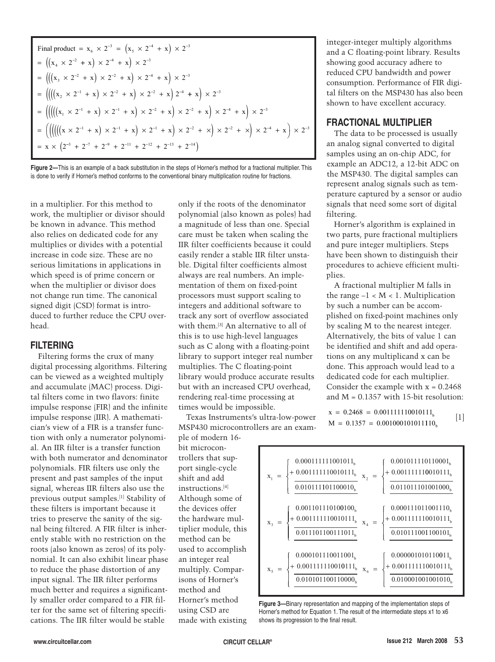Final product = 
$$
x_6 \times 2^{-3} = (x_5 \times 2^{-4} + x) \times 2^{-3}
$$

\n
$$
= ((x_4 \times 2^{-2} + x) \times 2^{-4} + x) \times 2^{-3}
$$
\n
$$
= (((x_3 \times 2^{-2} + x) \times 2^{-2} + x) \times 2^{-4} + x) \times 2^{-3}
$$
\n
$$
= (((x_2 \times 2^{-1} + x) \times 2^{-2} + x) \times 2^{-2} + x) \times 2^{-4} + x) \times 2^{-3}
$$
\n
$$
= (((x_1 \times 2^{-1} + x) \times 2^{-1} + x) \times 2^{-2} + x) \times 2^{-2} + x) \times 2^{-4} + x) \times 2^{-3}
$$
\n
$$
= (((((x_1 \times 2^{-1} + x) \times 2^{-1} + x) \times 2^{-1} + x) \times 2^{-2} + x) \times 2^{-2} + x) \times 2^{-4} + x) \times 2^{-3}
$$
\n
$$
= x \times (2^{-3} + 2^{-7} + 2^{-9} + 2^{-11} + 2^{-12} + 2^{-13} + 2^{-14})
$$

**Figure 2—**This is an example of a back substitution in the steps of Horner's method for a fractional multiplier. This is done to verify if Horner's method conforms to the conventional binary multiplication routine for fractions.

in a multiplier. For this method to work, the multiplier or divisor should be known in advance. This method also relies on dedicated code for any multiplies or divides with a potential increase in code size. These are no serious limitations in applications in which speed is of prime concern or when the multiplier or divisor does not change run time. The canonical signed digit (CSD) format is introduced to further reduce the CPU overhead.

#### **FILTERING**

Filtering forms the crux of many digital processing algorithms. Filtering can be viewed as a weighted multiply and accumulate (MAC) process. Digital filters come in two flavors: finite impulse response (FIR) and the infinite impulse response (IIR). A mathematician's view of a FIR is a transfer function with only a numerator polynomial. An IIR filter is a transfer function with both numerator and denominator polynomials. FIR filters use only the present and past samples of the input signal, whereas IIR filters also use the previous output samples.[1] Stability of these filters is important because it tries to preserve the sanity of the signal being filtered. A FIR filter is inherently stable with no restriction on the roots (also known as zeros) of its polynomial. It can also exhibit linear phase to reduce the phase distortion of any input signal. The IIR filter performs much better and requires a significantly smaller order compared to a FIR filter for the same set of filtering specifications. The IIR filter would be stable

only if the roots of the denominator polynomial (also known as poles) had a magnitude of less than one. Special care must be taken when scaling the IIR filter coefficients because it could easily render a stable IIR filter unstable. Digital filter coefficients almost always are real numbers. An implementation of them on fixed-point processors must support scaling to integers and additional software to track any sort of overflow associated with them.[3] An alternative to all of this is to use high-level languages such as C along with a floating-point library to support integer real number multiplies. The C floating-point library would produce accurate results but with an increased CPU overhead, rendering real-time processing at times would be impossible.

Texas Instruments's ultra-low-power MSP430 microcontrollers are an example of modern 16-

bit microcontrollers that support single-cycle shift and add instructions.[4] Although some of the devices offer the hardware multiplier module, this method can be used to accomplish an integer real multiply. Comparisons of Horner's method and Horner's method using CSD are made with existing

integer-integer multiply algorithms and a C floating-point library. Results showing good accuracy adhere to reduced CPU bandwidth and power consumption. Performance of FIR digital filters on the MSP430 has also been shown to have excellent accuracy.

#### **FRACTIONAL MULTIPLIER**

The data to be processed is usually an analog signal converted to digital samples using an on-chip ADC, for example an ADC12, a 12-bit ADC on the MSP430. The digital samples can represent analog signals such as temperature captured by a sensor or audio signals that need some sort of digital filtering.

Horner's algorithm is explained in two parts, pure fractional multipliers and pure integer multipliers. Steps have been shown to distinguish their procedures to achieve efficient multiplies.

A fractional multiplier M falls in the range  $-1 < M < 1$ . Multiplication by such a number can be accomplished on fixed-point machines only by scaling M to the nearest integer. Alternatively, the bits of value 1 can be identified and shift and add operations on any multiplicand x can be done. This approach would lead to a dedicated code for each multiplier. Consider the example with  $x = 0.2468$ and  $M = 0.1357$  with 15-bit resolution:

 $x = 0.2468 = 0.001111110010111_b$  [1]  $M = 0.1357 = 0.001000101011110<sub>b</sub>$ 



**Figure 3—**Binary representation and mapping of the implementation steps of Horner's method for Equation 1. The result of the intermediate steps x1 to x6 shows its progression to the final result.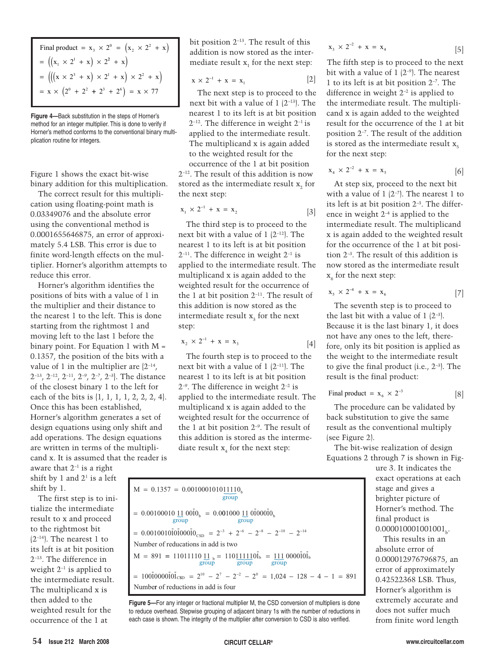Final product = 
$$
x_3 \times 2^0 = (x_2 \times 2^2 + x)
$$

\n=  $((x_1 \times 2^1 + x) \times 2^2 + x)$ 

\n=  $((x \times 2^3 + x) \times 2^1 + x) \times 2^2 + x)$ 

\n=  $x \times (2^0 + 2^2 + 2^3 + 2^6) = x \times 77$ 

**Figure 4—**Back substitution in the steps of Horner's method for an integer multiplier. This is done to verify if Horner's method conforms to the conventional binary multiplication routine for integers.

Figure 1 shows the exact bit-wise binary addition for this multiplication.

The correct result for this multiplication using floating-point math is 0.03349076 and the absolute error using the conventional method is 0.0001655646875, an error of approximately 5.4 LSB. This error is due to finite word-length effects on the multiplier. Horner's algorithm attempts to reduce this error.

Horner's algorithm identifies the positions of bits with a value of 1 in the multiplier and their distance to the nearest 1 to the left. This is done starting from the rightmost 1 and moving left to the last 1 before the binary point. For Equation 1 with  $M =$ 0.1357, the position of the bits with a value of 1 in the multiplier are  $\{2^{-14}, \ldots \}$  $2^{-13}$ ,  $2^{-12}$ ,  $2^{-11}$ ,  $2^{-9}$ ,  $2^{-7}$ ,  $2^{-3}$ . The distance of the closest binary 1 to the left for each of the bits is {1, 1, 1, 1, 2, 2, 2, 4}. Once this has been established, Horner's algorithm generates a set of design equations using only shift and add operations. The design equations are written in terms of the multiplicand x. It is assumed that the reader is

aware that  $2^{-1}$  is a right shift by 1 and  $2<sup>1</sup>$  is a left shift by 1.

The first step is to initialize the intermediate result to x and proceed to the rightmost bit  $(2^{-14})$ . The nearest 1 to its left is at bit position 2–13. The difference in weight  $2^{-1}$  is applied to the intermediate result. The multiplicand x is then added to the weighted result for the occurrence of the 1 at

bit position 2–13. The result of this addition is now stored as the intermediate result  $x_i$  for the next step:

$$
\mathbf{x} \times 2^{-1} + \mathbf{x} = \mathbf{x}_1 \tag{2}
$$

The next step is to proceed to the next bit with a value of 1 (2–13). The nearest 1 to its left is at bit position  $2^{-12}$ . The difference in weight  $2^{-1}$  is applied to the intermediate result. The multiplicand x is again added to the weighted result for the occurrence of the 1 at bit position

2–12. The result of this addition is now stored as the intermediate result x<sub>2</sub> for the next step:

$$
x_1 \times 2^{-1} + x = x_2 \tag{3}
$$

The third step is to proceed to the next bit with a value of 1 (2–12). The nearest 1 to its left is at bit position  $2^{-11}$ . The difference in weight  $2^{-1}$  is applied to the intermediate result. The multiplicand x is again added to the weighted result for the occurrence of the 1 at bit position  $2^{-11}$ . The result of this addition is now stored as the intermediate result x<sub>3</sub> for the next step:

$$
x_2 \times 2^{-1} + x = x_3 \tag{4}
$$

The fourth step is to proceed to the next bit with a value of 1 (2–11). The nearest 1 to its left is at bit position  $2^{-9}$ . The difference in weight  $2^{-2}$  is applied to the intermediate result. The multiplicand x is again added to the weighted result for the occurrence of the 1 at bit position  $2^{-9}$ . The result of this addition is stored as the intermediate result  $x_i$  for the next step:

$$
M = 0.1357 = 0.0010001010\underbrace{11110}_{\text{group}}
$$
  
= 0.00100010 11 00I0<sub>b</sub> = 0.001000 11 01000I0<sub>b</sub>  
group  
= 0.0010010101000010<sub>cSD</sub> = 2<sup>-3</sup> + 2<sup>-6</sup> - 2<sup>-8</sup> - 2<sup>-10</sup> - 2<sup>-14</sup>  
Number of reductions in add is two  

$$
M = 891 = 11011110 \underbrace{11}_{\text{group}}
$$
  
= 10010000101<sub>cSD</sub> = 2<sup>10</sup> - 2<sup>7</sup> - 2<sup>-2</sup> - 2<sup>0</sup> = 1,024 - 128 - 4 - 1 = 891  
Number of reductions in add is four

Figure 5-For any integer or fractional multiplier M, the CSD conversion of multipliers is done to reduce overhead. Stepwise grouping of adjacent binary 1s with the number of reductions in each case is shown. The integrity of the multiplier after conversion to CSD is also verified.

$$
x_3 \times 2^{-2} + x = x_4 \tag{5}
$$

The fifth step is to proceed to the next bit with a value of  $1(2^{-9})$ . The nearest 1 to its left is at bit position 2–7. The difference in weight  $2^{-2}$  is applied to the intermediate result. The multiplicand x is again added to the weighted result for the occurrence of the 1 at bit position 2–7 . The result of the addition is stored as the intermediate result  $x_c$ for the next step:

$$
x_4 \times 2^{-2} + x = x_5 \tag{6}
$$

At step six, proceed to the next bit with a value of  $1(2^{-7})$ . The nearest 1 to its left is at bit position  $2^{-3}$ . The difference in weight  $2^{-4}$  is applied to the intermediate result. The multiplicand x is again added to the weighted result for the occurrence of the 1 at bit position 2–3. The result of this addition is now stored as the intermediate result  $x<sub>6</sub>$  for the next step:

$$
x_5 \times 2^{-4} + x = x_6 \tag{7}
$$

The seventh step is to proceed to the last bit with a value of  $1(2^{-3})$ . Because it is the last binary 1, it does not have any ones to the left, therefore, only its bit position is applied as the weight to the intermediate result to give the final product (i.e.,  $2^{-3}$ ). The result is the final product:

$$
Final product = x_6 \times 2^{-3}
$$
 [8]

The procedure can be validated by back substitution to give the same result as the conventional multiply (see Figure 2).

The bit-wise realization of design Equations 2 through 7 is shown in Fig-

> ure 3. It indicates the exact operations at each stage and gives a brighter picture of Horner's method. The final product is  $0.000010001001001_{b}$

This results in an absolute error of 0.000012976796875, an error of approximately 0.42522368 LSB. Thus, Horner's algorithm is extremely accurate and does not suffer much from finite word length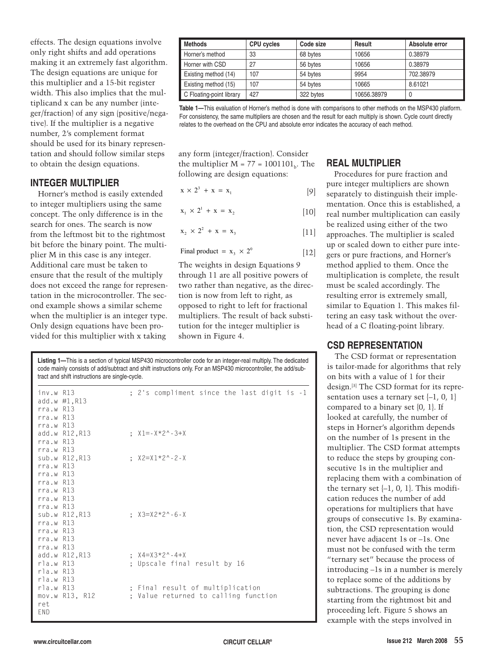effects. The design equations involve only right shifts and add operations making it an extremely fast algorithm. The design equations are unique for this multiplier and a 15-bit register width. This also implies that the multiplicand x can be any number (integer/fraction) of any sign (positive/negative). If the multiplier is a negative number, 2's complement format should be used for its binary representation and should follow similar steps to obtain the design equations.

# **INTEGER MULTIPLIER**

Horner's method is easily extended to integer multipliers using the same concept. The only difference is in the search for ones. The search is now from the leftmost bit to the rightmost bit before the binary point. The multiplier M in this case is any integer. Additional care must be taken to ensure that the result of the multiply does not exceed the range for representation in the microcontroller. The second example shows a similar scheme when the multiplier is an integer type. Only design equations have been provided for this multiplier with x taking

| Methods                  | <b>CPU cycles</b> | Code size | Result      | Absolute error |
|--------------------------|-------------------|-----------|-------------|----------------|
| Horner's method          | 33                | 68 bytes  | 10656       | 0.38979        |
| Horner with CSD          | 27                | 56 bytes  | 10656       | 0.38979        |
| Existing method (14)     | 107               | 54 bytes  | 9954        | 702.38979      |
| Existing method (15)     | 107               | 54 bytes  | 10665       | 8.61021        |
| C Floating-point library | 427               | 322 bytes | 10656.38979 | 0              |

**Table 1—**This evaluation of Horner's method is done with comparisons to other methods on the MSP430 platform. For consistency, the same multipliers are chosen and the result for each multiply is shown. Cycle count directly relates to the overhead on the CPU and absolute error indicates the accuracy of each method.

any form (integer/fraction). Consider the multiplier  $M = 77 = 1001101<sub>b</sub>$ . The following are design equations:

[9]  $x \times 2^3 + x = x_1$ 

[10]  $x_1 \times 2^1 + x = x_2$ 

$$
x_2 \times 2^2 + x = x_3 \tag{11}
$$

$$
Final product = x_3 \times 2^0
$$
 [12]

The weights in design Equations 9 through 11 are all positive powers of two rather than negative, as the direction is now from left to right, as opposed to right to left for fractional multipliers. The result of back substitution for the integer multiplier is shown in Figure 4.

**Listing 1—**This is a section of typical MSP430 microcontroller code for an integer-real multiply. The dedicated code mainly consists of add/subtract and shift instructions only. For an MSP430 microcontroller, the add/subtract and shift instructions are single-cycle.

| inv.w R13       |                               | : 2's compliment since the last digit is -1 |  |
|-----------------|-------------------------------|---------------------------------------------|--|
|                 | add.w $\#1, R13$              |                                             |  |
| $rra.w$ $R13$   |                               |                                             |  |
| $rra.w$ $R13$   |                               |                                             |  |
| $rra.w$ $R13$   |                               |                                             |  |
|                 | add.w R12, R13 ; X1=-X*2^-3+X |                                             |  |
| $rra.w$ $R13$   |                               |                                             |  |
| $rra.w$ $R13$   |                               |                                             |  |
|                 | sub.w R12.R13                 | : $X2 = X1 * 2^ - -2 - X$                   |  |
| $rra.w$ $R13$   |                               |                                             |  |
| $rra.w$ $R13$   |                               |                                             |  |
| $rra.w$ $R13$   |                               |                                             |  |
| $rra.w$ $R13$   |                               |                                             |  |
| $rra.w$ $R13$   |                               |                                             |  |
| $rra.w$ $R13$   |                               |                                             |  |
|                 | sub.w R12,R13                 | $\pm$ X3=X2 $\times$ 2 $\cdot$ - 6 - X      |  |
| $rra.w$ $R13$   |                               |                                             |  |
| $rra.w$ $R13$   |                               |                                             |  |
| $rra.w$ $R13$   |                               |                                             |  |
| $rra.w$ $R13$   |                               |                                             |  |
|                 | add.w R12,R13                 | : $X4 = X3 * 2^ - 4 + X$                    |  |
| $r$ la.w $R$ 13 |                               | ; Upscale final result by 16                |  |
| rla.w R13       |                               |                                             |  |
| $r$ la.w $R$ 13 |                               |                                             |  |
| $r$ la.w $R$ 13 |                               | ; Final result of multiplication            |  |
|                 | mov.w R13, R12                | ; Value returned to calling function        |  |
| ret             |                               |                                             |  |
| FND.            |                               |                                             |  |
|                 |                               |                                             |  |

# **REAL MULTIPLIER**

Procedures for pure fraction and pure integer multipliers are shown separately to distinguish their implementation. Once this is established, a real number multiplication can easily be realized using either of the two approaches. The multiplier is scaled up or scaled down to either pure integers or pure fractions, and Horner's method applied to them. Once the multiplication is complete, the result must be scaled accordingly. The resulting error is extremely small, similar to Equation 1. This makes filtering an easy task without the overhead of a C floating-point library.

#### **CSD REPRESENTATION**

The CSD format or representation is tailor-made for algorithms that rely on bits with a value of 1 for their design.[3] The CSD format for its representation uses a ternary set  $\{-1, 0, 1\}$ compared to a binary set {0, 1}. If looked at carefully, the number of steps in Horner's algorithm depends on the number of 1s present in the multiplier. The CSD format attempts to reduce the steps by grouping consecutive 1s in the multiplier and replacing them with a combination of the ternary set  $\{-1, 0, 1\}$ . This modification reduces the number of add operations for multipliers that have groups of consecutive 1s. By examination, the CSD representation would never have adjacent 1s or –1s. One must not be confused with the term "ternary set" because the process of introducing –1s in a number is merely to replace some of the additions by subtractions. The grouping is done starting from the rightmost bit and proceeding left. Figure 5 shows an example with the steps involved in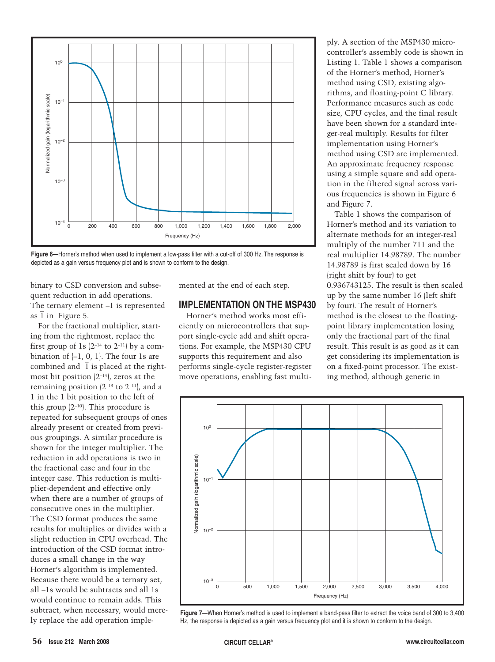

**Figure 6—**Horner's method when used to implement a low-pass filter with a cut-off of 300 Hz. The response is depicted as a gain versus frequency plot and is shown to conform to the design.

binary to CSD conversion and subsequent reduction in add operations. The ternary element –1 is represented \_ as  $\overline{1}$  in Figure 5.

For the fractional multiplier, starting from the rightmost, replace the first group of 1s  $(2^{-14}$  to  $2^{-11}$ ) by a combination of  $\{-1, 0, 1\}$ . The four 1s are combined and  $\bar{1}$  is placed at the rightmost bit position  $(2^{-14})$ , zeros at the remaining position  $(2^{-13}$  to  $2^{-11}$ ), and a 1 in the 1 bit position to the left of this group  $(2^{-10})$ . This procedure is repeated for subsequent groups of ones already present or created from previous groupings. A similar procedure is shown for the integer multiplier. The reduction in add operations is two in the fractional case and four in the integer case. This reduction is multiplier-dependent and effective only when there are a number of groups of consecutive ones in the multiplier. The CSD format produces the same results for multiplies or divides with a slight reduction in CPU overhead. The introduction of the CSD format introduces a small change in the way Horner's algorithm is implemented. Because there would be a ternary set, all –1s would be subtracts and all 1s would continue to remain adds. This subtract, when necessary, would merely replace the add operation implemented at the end of each step.

#### **IMPLEMENTATION ON THE MSP430**

Horner's method works most efficiently on microcontrollers that support single-cycle add and shift operations. For example, the MSP430 CPU supports this requirement and also performs single-cycle register-register move operations, enabling fast multiply. A section of the MSP430 microcontroller's assembly code is shown in Listing 1. Table 1 shows a comparison of the Horner's method, Horner's method using CSD, existing algorithms, and floating-point C library. Performance measures such as code size, CPU cycles, and the final result have been shown for a standard integer-real multiply. Results for filter implementation using Horner's method using CSD are implemented. An approximate frequency response using a simple square and add operation in the filtered signal across various frequencies is shown in Figure 6 and Figure 7.

Table 1 shows the comparison of Horner's method and its variation to alternate methods for an integer-real multiply of the number 711 and the real multiplier 14.98789. The number 14.98789 is first scaled down by 16 (right shift by four) to get 0.936743125. The result is then scaled up by the same number 16 (left shift by four). The result of Horner's method is the closest to the floatingpoint library implementation losing only the fractional part of the final result. This result is as good as it can get considering its implementation is on a fixed-point processor. The existing method, although generic in



**Figure 7—**When Horner's method is used to implement a band-pass filter to extract the voice band of 300 to 3,400 Hz, the response is depicted as a gain versus frequency plot and it is shown to conform to the design.